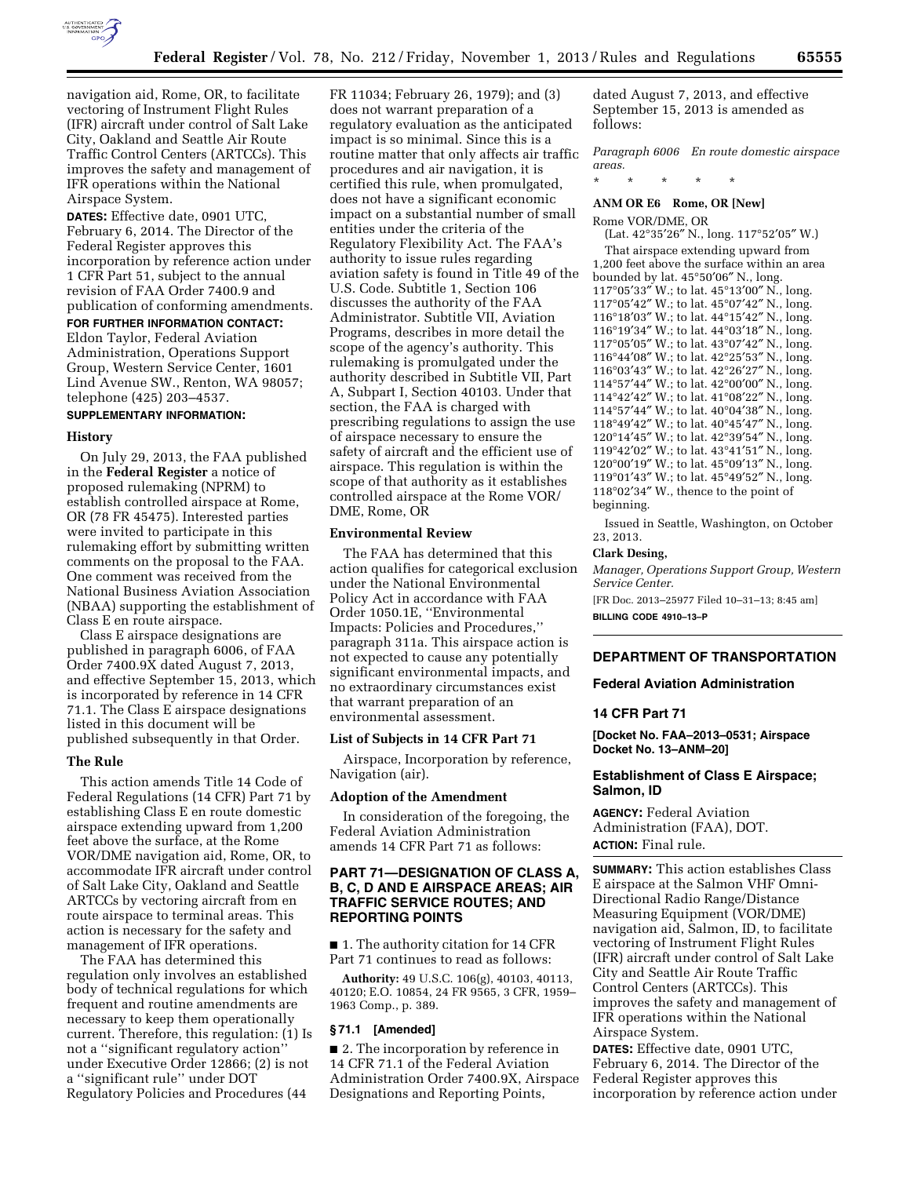

navigation aid, Rome, OR, to facilitate vectoring of Instrument Flight Rules (IFR) aircraft under control of Salt Lake City, Oakland and Seattle Air Route Traffic Control Centers (ARTCCs). This improves the safety and management of IFR operations within the National Airspace System.

**DATES:** Effective date, 0901 UTC, February 6, 2014. The Director of the Federal Register approves this incorporation by reference action under 1 CFR Part 51, subject to the annual revision of FAA Order 7400.9 and publication of conforming amendments.

**FOR FURTHER INFORMATION CONTACT:**  Eldon Taylor, Federal Aviation Administration, Operations Support Group, Western Service Center, 1601 Lind Avenue SW., Renton, WA 98057; telephone (425) 203–4537.

#### **SUPPLEMENTARY INFORMATION:**

#### **History**

On July 29, 2013, the FAA published in the **Federal Register** a notice of proposed rulemaking (NPRM) to establish controlled airspace at Rome, OR (78 FR 45475). Interested parties were invited to participate in this rulemaking effort by submitting written comments on the proposal to the FAA. One comment was received from the National Business Aviation Association (NBAA) supporting the establishment of Class E en route airspace.

Class E airspace designations are published in paragraph 6006, of FAA Order 7400.9X dated August 7, 2013, and effective September 15, 2013, which is incorporated by reference in 14 CFR 71.1. The Class E airspace designations listed in this document will be published subsequently in that Order.

## **The Rule**

This action amends Title 14 Code of Federal Regulations (14 CFR) Part 71 by establishing Class E en route domestic airspace extending upward from 1,200 feet above the surface, at the Rome VOR/DME navigation aid, Rome, OR, to accommodate IFR aircraft under control of Salt Lake City, Oakland and Seattle ARTCCs by vectoring aircraft from en route airspace to terminal areas. This action is necessary for the safety and management of IFR operations.

The FAA has determined this regulation only involves an established body of technical regulations for which frequent and routine amendments are necessary to keep them operationally current. Therefore, this regulation: (1) Is not a ''significant regulatory action'' under Executive Order 12866; (2) is not a ''significant rule'' under DOT Regulatory Policies and Procedures (44

FR 11034; February 26, 1979); and (3) does not warrant preparation of a regulatory evaluation as the anticipated impact is so minimal. Since this is a routine matter that only affects air traffic procedures and air navigation, it is certified this rule, when promulgated, does not have a significant economic impact on a substantial number of small entities under the criteria of the Regulatory Flexibility Act. The FAA's authority to issue rules regarding aviation safety is found in Title 49 of the U.S. Code. Subtitle 1, Section 106 discusses the authority of the FAA Administrator. Subtitle VII, Aviation Programs, describes in more detail the scope of the agency's authority. This rulemaking is promulgated under the authority described in Subtitle VII, Part A, Subpart I, Section 40103. Under that section, the FAA is charged with prescribing regulations to assign the use of airspace necessary to ensure the safety of aircraft and the efficient use of airspace. This regulation is within the scope of that authority as it establishes controlled airspace at the Rome VOR/ DME, Rome, OR

## **Environmental Review**

The FAA has determined that this action qualifies for categorical exclusion under the National Environmental Policy Act in accordance with FAA Order 1050.1E, ''Environmental Impacts: Policies and Procedures,'' paragraph 311a. This airspace action is not expected to cause any potentially significant environmental impacts, and no extraordinary circumstances exist that warrant preparation of an environmental assessment.

#### **List of Subjects in 14 CFR Part 71**

Airspace, Incorporation by reference, Navigation (air).

#### **Adoption of the Amendment**

In consideration of the foregoing, the Federal Aviation Administration amends 14 CFR Part 71 as follows:

# **PART 71—DESIGNATION OF CLASS A, B, C, D AND E AIRSPACE AREAS; AIR TRAFFIC SERVICE ROUTES; AND REPORTING POINTS**

■ 1. The authority citation for 14 CFR Part 71 continues to read as follows:

**Authority:** 49 U.S.C. 106(g), 40103, 40113, 40120; E.O. 10854, 24 FR 9565, 3 CFR, 1959– 1963 Comp., p. 389.

#### **§ 71.1 [Amended]**

■ 2. The incorporation by reference in 14 CFR 71.1 of the Federal Aviation Administration Order 7400.9X, Airspace Designations and Reporting Points,

dated August 7, 2013, and effective September 15, 2013 is amended as follows:

*Paragraph 6006 En route domestic airspace areas.* 

\* \* \* \* \*

# **ANM OR E6 Rome, OR [New]**

Rome VOR/DME, OR

(Lat. 42°35′26″ N., long. 117°52′05″ W.) That airspace extending upward from 1,200 feet above the surface within an area bounded by lat. 45°50′06″ N., long. °05′33″ W.; to lat. 45°13′00″ N., long. °05′42″ W.; to lat. 45°07′42″ N., long. °18′03″ W.; to lat. 44°15′42″ N., long. °19′34″ W.; to lat. 44°03′18″ N., long. °05′05″ W.; to lat. 43°07′42″ N., long. °44′08″ W.; to lat. 42°25′53″ N., long. °03′43″ W.; to lat. 42°26′27″ N., long. °57′44″ W.; to lat. 42°00′00″ N., long. °42′42″ W.; to lat. 41°08′22″ N., long. °57′44″ W.; to lat. 40°04′38″ N., long. °49′42″ W.; to lat. 40°45′47″ N., long. °14′45″ W.; to lat. 42°39′54″ N., long. °42′02″ W.; to lat. 43°41′51″ N., long. °00′19″ W.; to lat. 45°09′13″ N., long. °01′43″ W.; to lat. 45°49′52″ N., long. °02′34″ W., thence to the point of beginning.

Issued in Seattle, Washington, on October 23, 2013.

# **Clark Desing,**

*Manager, Operations Support Group, Western Service Center.* 

[FR Doc. 2013–25977 Filed 10–31–13; 8:45 am] **BILLING CODE 4910–13–P** 

## **DEPARTMENT OF TRANSPORTATION**

## **Federal Aviation Administration**

## **14 CFR Part 71**

**[Docket No. FAA–2013–0531; Airspace Docket No. 13–ANM–20]** 

# **Establishment of Class E Airspace; Salmon, ID**

**AGENCY:** Federal Aviation Administration (FAA), DOT. **ACTION:** Final rule.

**SUMMARY:** This action establishes Class E airspace at the Salmon VHF Omni-Directional Radio Range/Distance Measuring Equipment (VOR/DME) navigation aid, Salmon, ID, to facilitate vectoring of Instrument Flight Rules (IFR) aircraft under control of Salt Lake City and Seattle Air Route Traffic Control Centers (ARTCCs). This improves the safety and management of IFR operations within the National Airspace System.

**DATES:** Effective date, 0901 UTC, February 6, 2014. The Director of the Federal Register approves this incorporation by reference action under